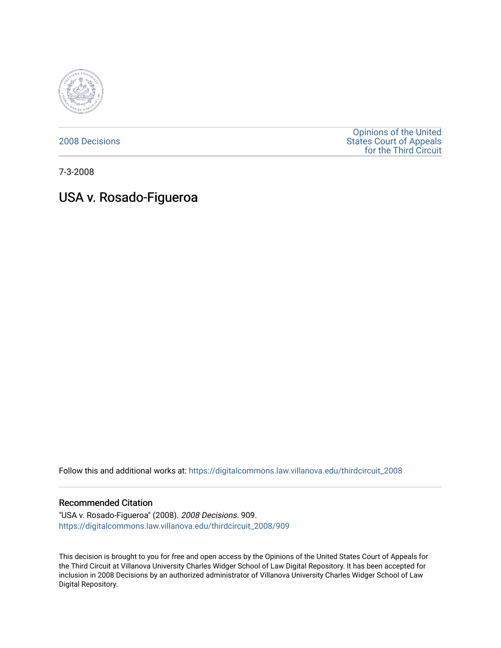

[2008 Decisions](https://digitalcommons.law.villanova.edu/thirdcircuit_2008)

[Opinions of the United](https://digitalcommons.law.villanova.edu/thirdcircuit)  [States Court of Appeals](https://digitalcommons.law.villanova.edu/thirdcircuit)  [for the Third Circuit](https://digitalcommons.law.villanova.edu/thirdcircuit) 

7-3-2008

# USA v. Rosado-Figueroa

Follow this and additional works at: [https://digitalcommons.law.villanova.edu/thirdcircuit\\_2008](https://digitalcommons.law.villanova.edu/thirdcircuit_2008?utm_source=digitalcommons.law.villanova.edu%2Fthirdcircuit_2008%2F909&utm_medium=PDF&utm_campaign=PDFCoverPages) 

#### Recommended Citation

"USA v. Rosado-Figueroa" (2008). 2008 Decisions. 909. [https://digitalcommons.law.villanova.edu/thirdcircuit\\_2008/909](https://digitalcommons.law.villanova.edu/thirdcircuit_2008/909?utm_source=digitalcommons.law.villanova.edu%2Fthirdcircuit_2008%2F909&utm_medium=PDF&utm_campaign=PDFCoverPages)

This decision is brought to you for free and open access by the Opinions of the United States Court of Appeals for the Third Circuit at Villanova University Charles Widger School of Law Digital Repository. It has been accepted for inclusion in 2008 Decisions by an authorized administrator of Villanova University Charles Widger School of Law Digital Repository.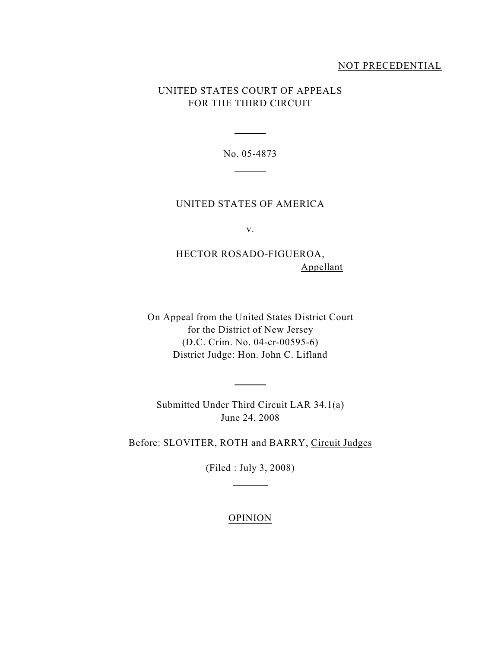### NOT PRECEDENTIAL

## UNITED STATES COURT OF APPEALS FOR THE THIRD CIRCUIT

No. 05-4873

 $\overline{a}$ 

 $\overline{a}$ 

## UNITED STATES OF AMERICA

v.

HECTOR ROSADO-FIGUEROA, Appellant

On Appeal from the United States District Court for the District of New Jersey (D.C. Crim. No. 04-cr-00595-6) District Judge: Hon. John C. Lifland

 $\overline{a}$ 

 $\overline{a}$ 

Submitted Under Third Circuit LAR 34.1(a) June 24, 2008

Before: SLOVITER, ROTH and BARRY, Circuit Judges

(Filed : July 3, 2008)

 $\overline{a}$ 

## OPINION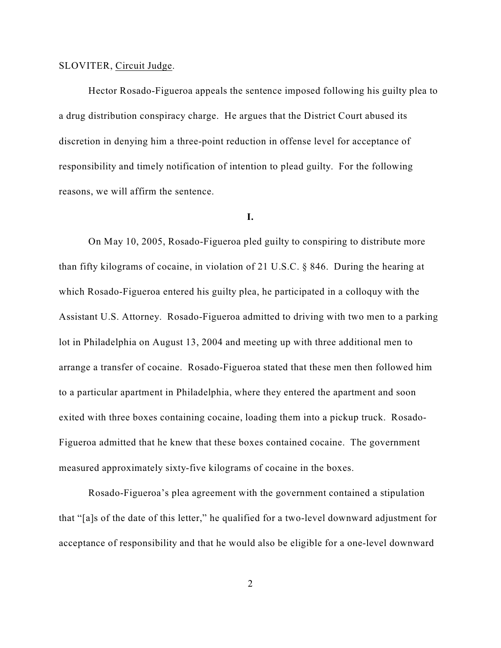#### SLOVITER, Circuit Judge.

Hector Rosado-Figueroa appeals the sentence imposed following his guilty plea to a drug distribution conspiracy charge. He argues that the District Court abused its discretion in denying him a three-point reduction in offense level for acceptance of responsibility and timely notification of intention to plead guilty. For the following reasons, we will affirm the sentence.

#### **I.**

On May 10, 2005, Rosado-Figueroa pled guilty to conspiring to distribute more than fifty kilograms of cocaine, in violation of 21 U.S.C. § 846. During the hearing at which Rosado-Figueroa entered his guilty plea, he participated in a colloquy with the Assistant U.S. Attorney. Rosado-Figueroa admitted to driving with two men to a parking lot in Philadelphia on August 13, 2004 and meeting up with three additional men to arrange a transfer of cocaine. Rosado-Figueroa stated that these men then followed him to a particular apartment in Philadelphia, where they entered the apartment and soon exited with three boxes containing cocaine, loading them into a pickup truck. Rosado-Figueroa admitted that he knew that these boxes contained cocaine. The government measured approximately sixty-five kilograms of cocaine in the boxes.

Rosado-Figueroa's plea agreement with the government contained a stipulation that "[a]s of the date of this letter," he qualified for a two-level downward adjustment for acceptance of responsibility and that he would also be eligible for a one-level downward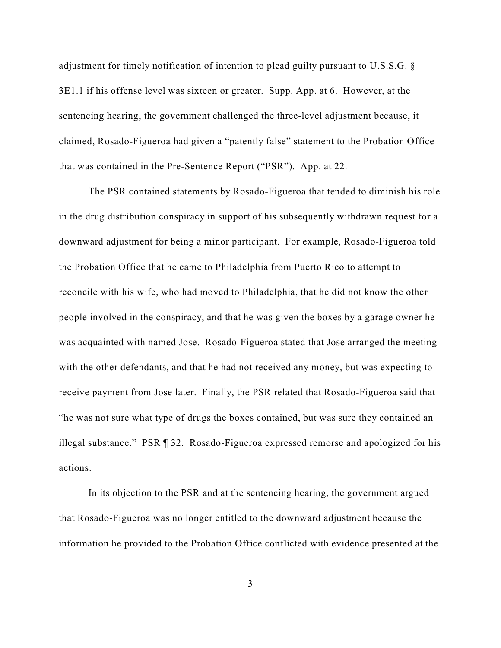adjustment for timely notification of intention to plead guilty pursuant to U.S.S.G. § 3E1.1 if his offense level was sixteen or greater. Supp. App. at 6. However, at the sentencing hearing, the government challenged the three-level adjustment because, it claimed, Rosado-Figueroa had given a "patently false" statement to the Probation Office that was contained in the Pre-Sentence Report ("PSR"). App. at 22.

The PSR contained statements by Rosado-Figueroa that tended to diminish his role in the drug distribution conspiracy in support of his subsequently withdrawn request for a downward adjustment for being a minor participant. For example, Rosado-Figueroa told the Probation Office that he came to Philadelphia from Puerto Rico to attempt to reconcile with his wife, who had moved to Philadelphia, that he did not know the other people involved in the conspiracy, and that he was given the boxes by a garage owner he was acquainted with named Jose. Rosado-Figueroa stated that Jose arranged the meeting with the other defendants, and that he had not received any money, but was expecting to receive payment from Jose later. Finally, the PSR related that Rosado-Figueroa said that "he was not sure what type of drugs the boxes contained, but was sure they contained an illegal substance." PSR ¶ 32. Rosado-Figueroa expressed remorse and apologized for his actions.

In its objection to the PSR and at the sentencing hearing, the government argued that Rosado-Figueroa was no longer entitled to the downward adjustment because the information he provided to the Probation Office conflicted with evidence presented at the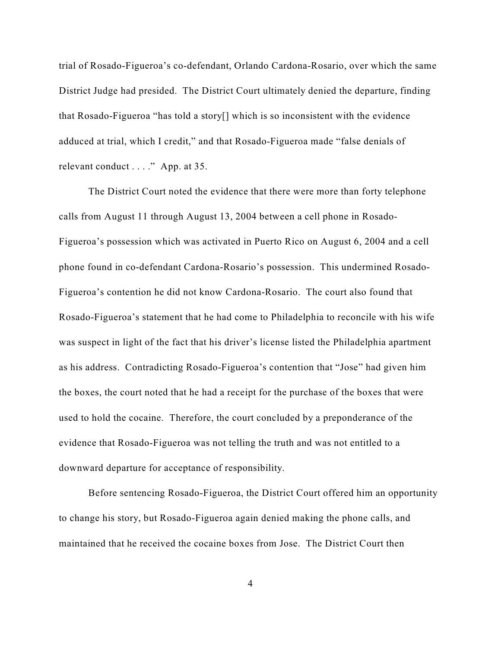trial of Rosado-Figueroa's co-defendant, Orlando Cardona-Rosario, over which the same District Judge had presided. The District Court ultimately denied the departure, finding that Rosado-Figueroa "has told a story[] which is so inconsistent with the evidence adduced at trial, which I credit," and that Rosado-Figueroa made "false denials of relevant conduct . . . ." App. at 35.

The District Court noted the evidence that there were more than forty telephone calls from August 11 through August 13, 2004 between a cell phone in Rosado-Figueroa's possession which was activated in Puerto Rico on August 6, 2004 and a cell phone found in co-defendant Cardona-Rosario's possession. This undermined Rosado-Figueroa's contention he did not know Cardona-Rosario. The court also found that Rosado-Figueroa's statement that he had come to Philadelphia to reconcile with his wife was suspect in light of the fact that his driver's license listed the Philadelphia apartment as his address. Contradicting Rosado-Figueroa's contention that "Jose" had given him the boxes, the court noted that he had a receipt for the purchase of the boxes that were used to hold the cocaine. Therefore, the court concluded by a preponderance of the evidence that Rosado-Figueroa was not telling the truth and was not entitled to a downward departure for acceptance of responsibility.

Before sentencing Rosado-Figueroa, the District Court offered him an opportunity to change his story, but Rosado-Figueroa again denied making the phone calls, and maintained that he received the cocaine boxes from Jose. The District Court then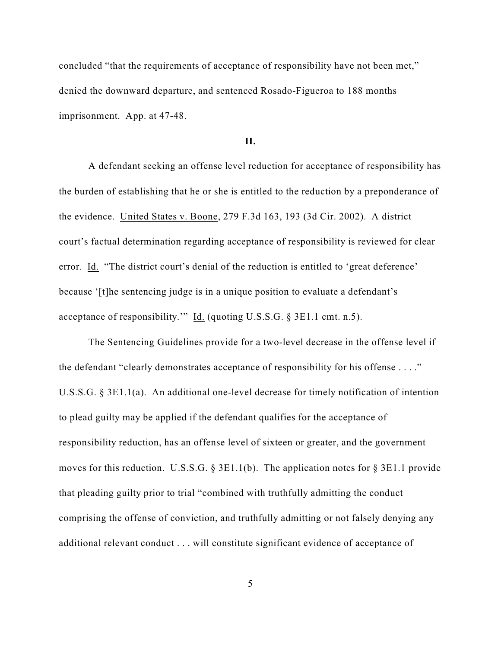concluded "that the requirements of acceptance of responsibility have not been met," denied the downward departure, and sentenced Rosado-Figueroa to 188 months imprisonment. App. at 47-48.

#### **II.**

A defendant seeking an offense level reduction for acceptance of responsibility has the burden of establishing that he or she is entitled to the reduction by a preponderance of the evidence. United States v. Boone, 279 F.3d 163, 193 (3d Cir. 2002). A district court's factual determination regarding acceptance of responsibility is reviewed for clear error. Id. "The district court's denial of the reduction is entitled to 'great deference' because '[t]he sentencing judge is in a unique position to evaluate a defendant's acceptance of responsibility.'" Id. (quoting U.S.S.G. § 3E1.1 cmt. n.5).

The Sentencing Guidelines provide for a two-level decrease in the offense level if the defendant "clearly demonstrates acceptance of responsibility for his offense . . . ." U.S.S.G. § 3E1.1(a). An additional one-level decrease for timely notification of intention to plead guilty may be applied if the defendant qualifies for the acceptance of responsibility reduction, has an offense level of sixteen or greater, and the government moves for this reduction. U.S.S.G. § 3E1.1(b). The application notes for § 3E1.1 provide that pleading guilty prior to trial "combined with truthfully admitting the conduct comprising the offense of conviction, and truthfully admitting or not falsely denying any additional relevant conduct . . . will constitute significant evidence of acceptance of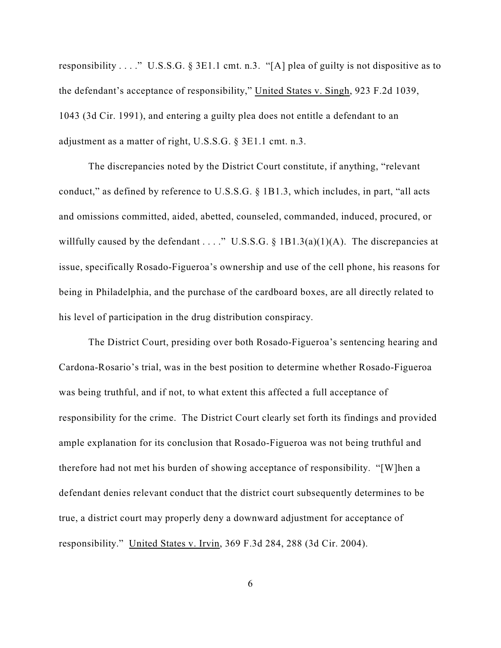responsibility . . . ." U.S.S.G. § 3E1.1 cmt. n.3. "[A] plea of guilty is not dispositive as to the defendant's acceptance of responsibility," United States v. Singh, 923 F.2d 1039, 1043 (3d Cir. 1991), and entering a guilty plea does not entitle a defendant to an adjustment as a matter of right, U.S.S.G. § 3E1.1 cmt. n.3.

The discrepancies noted by the District Court constitute, if anything, "relevant conduct," as defined by reference to U.S.S.G. § 1B1.3, which includes, in part, "all acts and omissions committed, aided, abetted, counseled, commanded, induced, procured, or willfully caused by the defendant . . . ." U.S.S.G. § 1B1.3(a)(1)(A). The discrepancies at issue, specifically Rosado-Figueroa's ownership and use of the cell phone, his reasons for being in Philadelphia, and the purchase of the cardboard boxes, are all directly related to his level of participation in the drug distribution conspiracy.

The District Court, presiding over both Rosado-Figueroa's sentencing hearing and Cardona-Rosario's trial, was in the best position to determine whether Rosado-Figueroa was being truthful, and if not, to what extent this affected a full acceptance of responsibility for the crime. The District Court clearly set forth its findings and provided ample explanation for its conclusion that Rosado-Figueroa was not being truthful and therefore had not met his burden of showing acceptance of responsibility. "[W]hen a defendant denies relevant conduct that the district court subsequently determines to be true, a district court may properly deny a downward adjustment for acceptance of responsibility." United States v. Irvin, 369 F.3d 284, 288 (3d Cir. 2004).

6